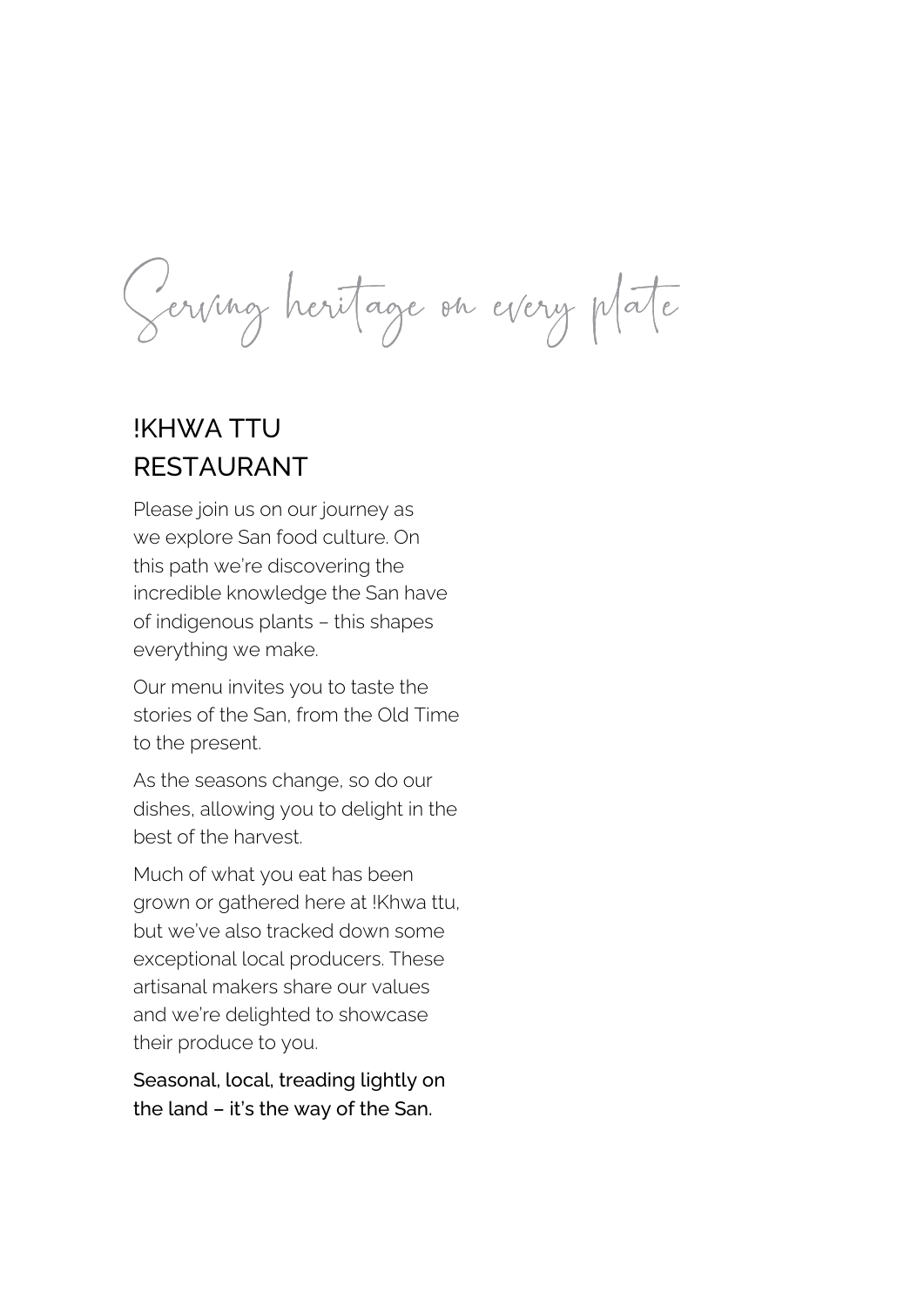# !KHWA TTU RESTAURANT

Serving heritage en every plate

Please join us on our journey as we explore San food culture. On this path we're discovering the incredible knowledge the San have of indigenous plants – this shapes everything we make.

Our menu invites you to taste the stories of the San, from the Old Time to the present.

As the seasons change, so do our dishes, allowing you to delight in the best of the harvest.

Much of what you eat has been grown or gathered here at !Khwa ttu, but we've also tracked down some

exceptional local producers. These artisanal makers share our values and we're delighted to showcase their produce to you.

Seasonal, local, treading lightly on the land – it's the way of the San.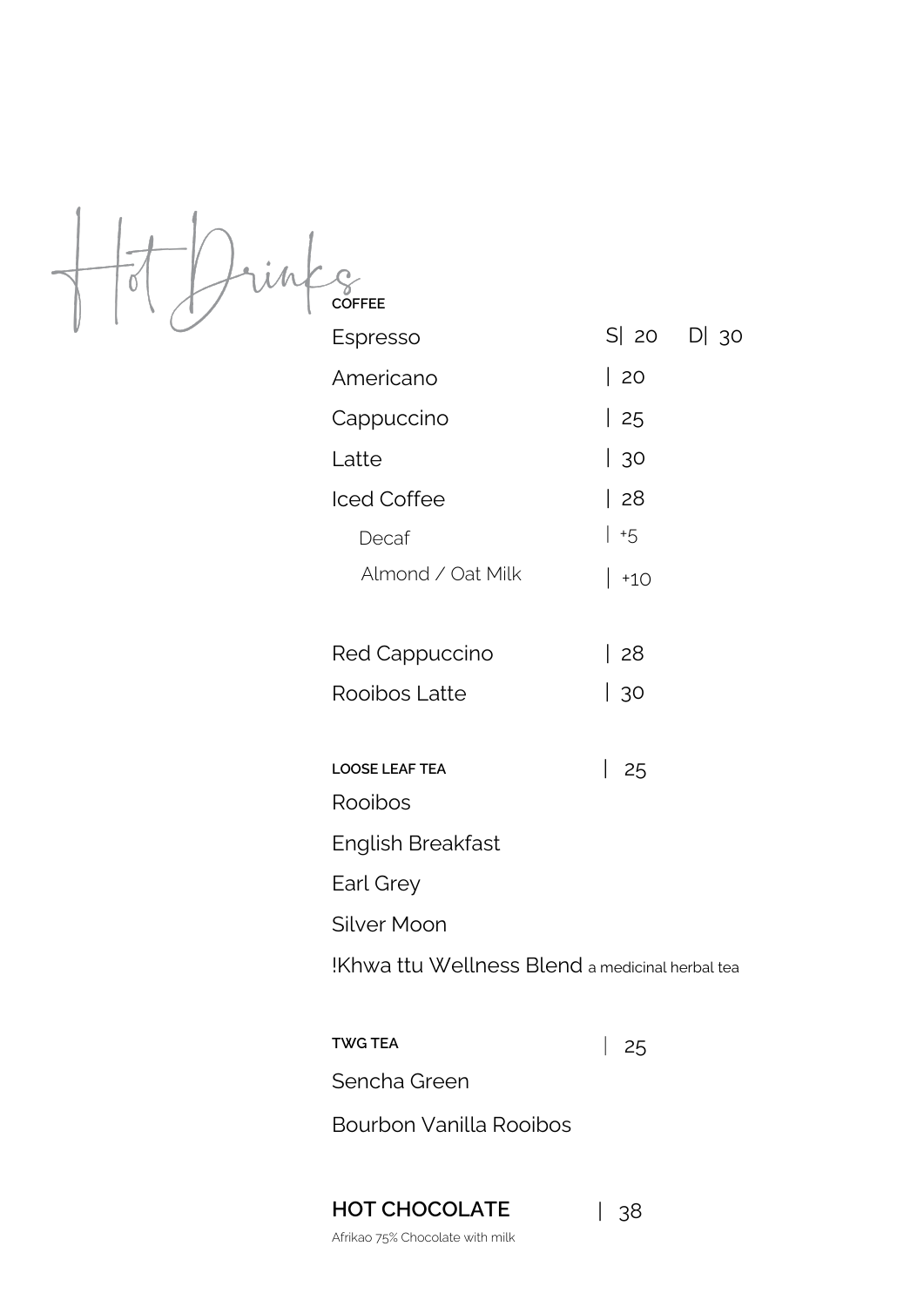

!Khwa ttu Wellness Blend a medicinal herbal tea

| Iced Coffee           | 28    |
|-----------------------|-------|
| Decaf                 | $+5$  |
| Almond / Oat Milk     | $+10$ |
|                       |       |
| <b>Red Cappuccino</b> | 28    |
| Rooibos Latte         | 30    |
|                       |       |
| <b>LOOSE LEAF TEA</b> | 25    |
| Rooibos               |       |
| English Breakfast     |       |
| Earl Grey             |       |
| Silver Moon           |       |

Bourbon Vanilla Rooibos

Afrikao 75% Chocolate with milk

**TWG TEA** Sencha Green | 25

#### **HOT CHOCOLATE** | 38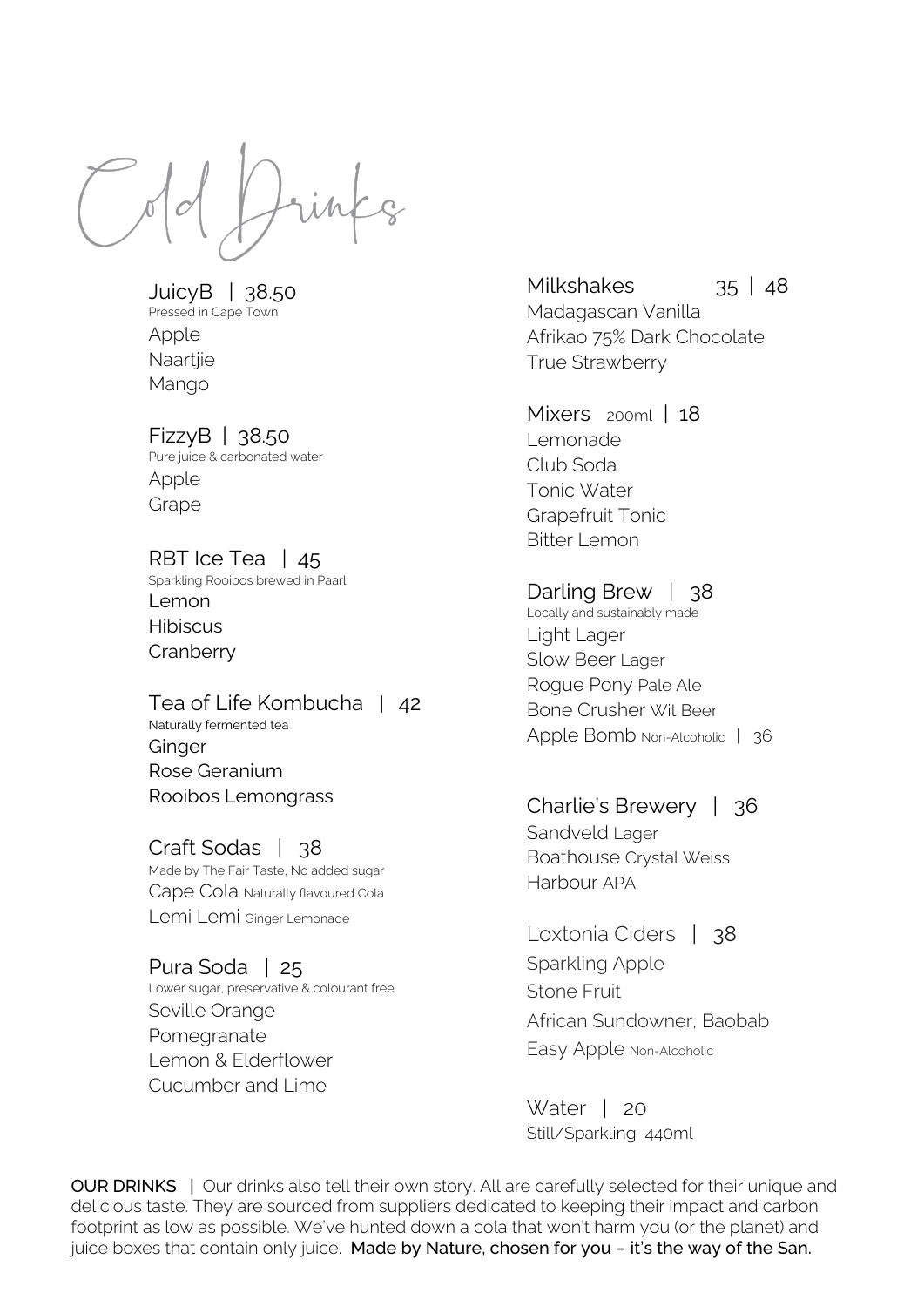Craft Sodas | 38 Made by The Fair Taste, No added sugar Cape Cola Naturally flavoured Cola Lemi Lemi Ginger Lemonade



JuicyB | 38.50 Pressed in Cape Town Apple Naartjie Mango

## FizzyB | 38.50 Pure juice & carbonated water

Apple Grape

RBT Ice Tea | 45 Sparkling Rooibos brewed in Paarl Lemon Hibiscus **Cranberry** 

Milkshakes 35 | 48 Madagascan Vanilla Afrikao 75% Dark Chocolate True Strawberry

Mixers 200ml | 18 Lemonade Club Soda

Darling Brew | 38 Locally and sustainably made Light Lager Slow Beer Lager Rogue Pony Pale Ale Bone Crusher Wit Beer Apple Bomb Non-Alcoholic | 36

Tea of Life Kombucha | 42 Naturally fermented tea Ginger Rose Geranium Rooibos Lemongrass

> Water | 20 Still/Sparkling 440ml

OUR DRINKS | Our drinks also tell their own story. All are carefully selected for their unique and delicious taste. They are sourced from suppliers dedicated to keeping their impact and carbon footprint as low as possible. We've hunted down a cola that won't harm you (or the planet) and juice boxes that contain only juice. Made by Nature, chosen for you - it's the way of the San.

Pura Soda | 25 Lower sugar, preservative & colourant free Seville Orange Pomegranate Lemon & Elderflower Cucumber and Lime

Tonic Water Grapefruit Tonic Bitter Lemon

Charlie's Brewery | 36 Sandveld Lager Boathouse Crystal Weiss Harbour APA

Loxtonia Ciders | 38

Sparkling Apple Stone Fruit African Sundowner, Baobab

Easy Apple Non-Alcoholic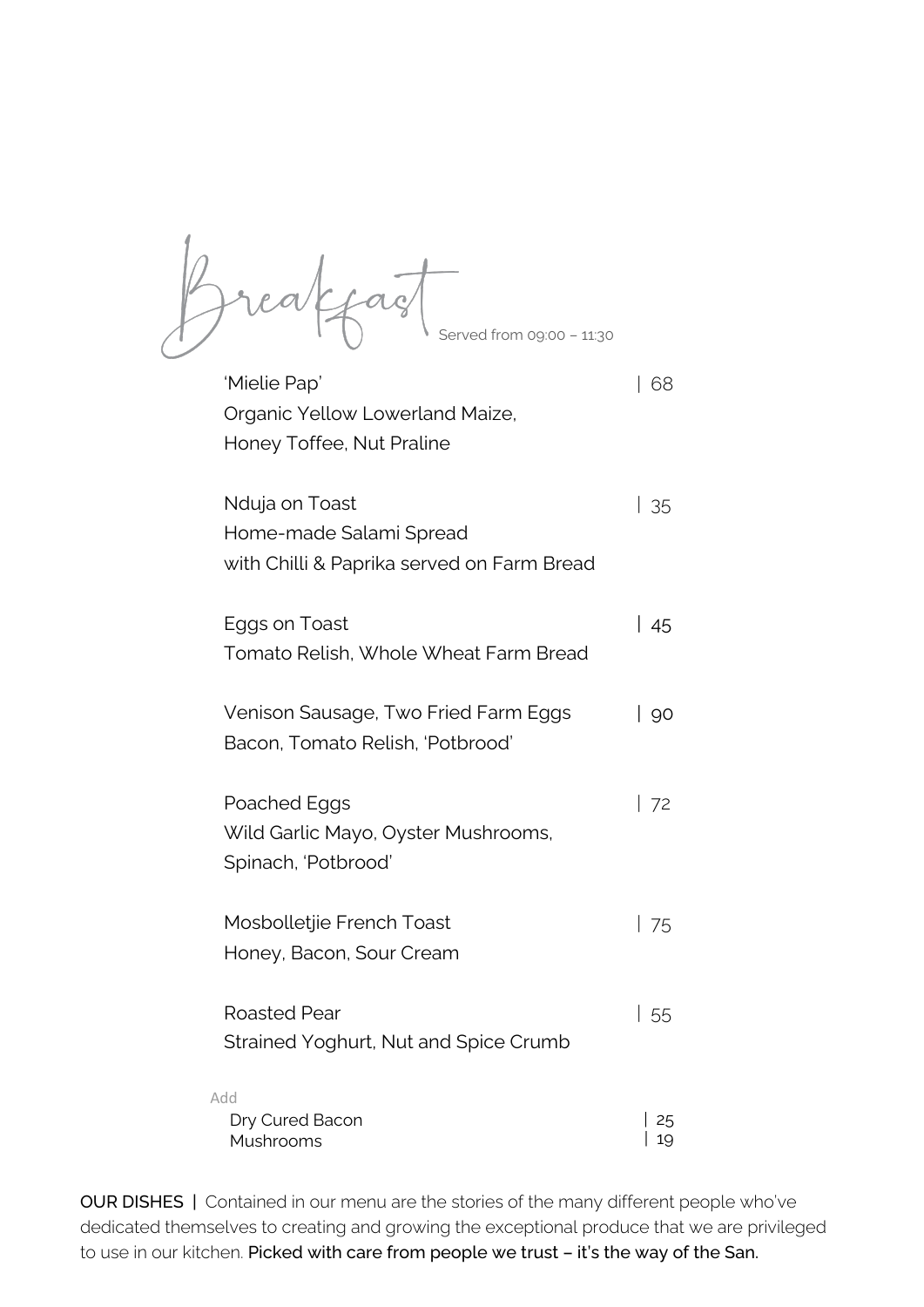'Mielie Pap' Organic Yellow Lowerland Maize, Honey Toffee, Nut Praline

OUR DISHES | Contained in our menu are the stories of the many different people who've dedicated themselves to creating and growing the exceptional produce that we are privileged to use in our kitchen. Picked with care from people we trust - it's the way of the San.

Honey, Bacon, Sour Cream

Nduja on Toast Home-made Salami Spread with Chilli & Paprika served on Farm Bread Eggs on Toast Tomato Relish, Whole Wheat Farm Bread Venison Sausage, Two Fried Farm Eggs Bacon, Tomato Relish, 'Potbrood' Poached Eggs Wild Garlic Mayo, Oyster Mushrooms, Spinach, 'Potbrood' Mosbolletjie French Toast | 35 | 45 | 90 | 72 | 75

Roasted Pear Strained Yoghurt, Nut and Spice Crumb | 68

| 55

Dry Cured Bacon Mushrooms



Add

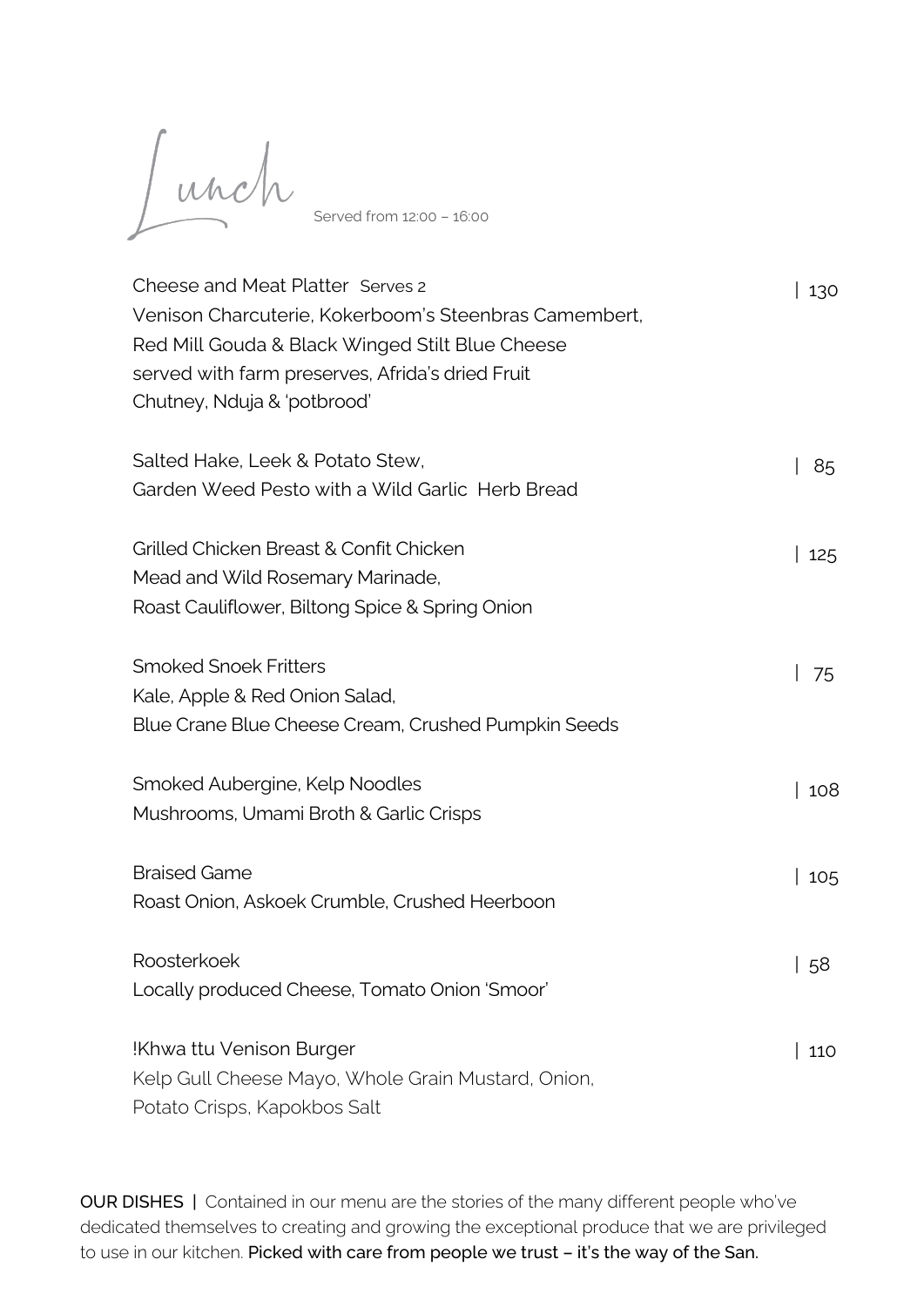Cheese and Meat Platter Serves 2

Venison Charcuterie, Kokerboom's Steenbras Camembert, Red Mill Gouda & Black Winged Stilt Blue Cheese served with farm preserves, Afrida's dried Fruit

Chutney, Nduja & 'potbrood'

Salted Hake, Leek & Potato Stew,

Garden Weed Pesto with a Wild Garlic Herb Bread

Grilled Chicken Breast & Confit Chicken Mead and Wild Rosemary Marinade, Roast Cauliflower, Biltong Spice & Spring Onion

OUR DISHES | Contained in our menu are the stories of the many different people who've dedicated themselves to creating and growing the exceptional produce that we are privileged to use in our kitchen. Picked with care from people we trust – it's the way of the San.

Smoked Snoek Fritters Kale, Apple & Red Onion Salad, Blue Crane Blue Cheese Cream, Crushed Pumpkin Seeds

Smoked Aubergine, Kelp Noodles Mushrooms, Umami Broth & Garlic Crisps

Braised Game

Roast Onion, Askoek Crumble, Crushed Heerboon

Roosterkoek

Locally produced Cheese, Tomato Onion 'Smoor'

!Khwa ttu Venison Burger Kelp Gull Cheese Mayo, Whole Grain Mustard, Onion, Potato Crisps, Kapokbos Salt

| 130

| 85

| 58

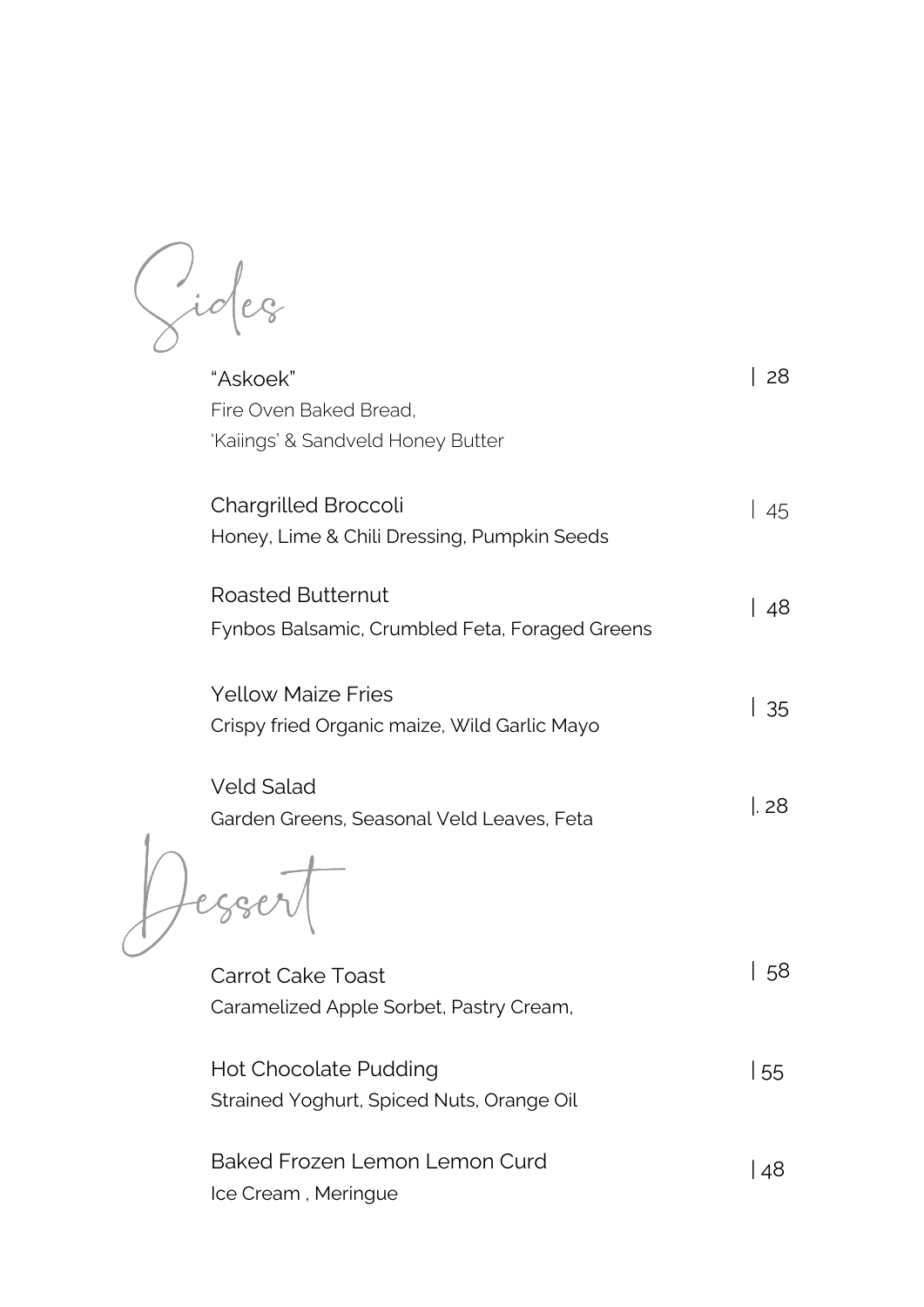

"Askoek" Fire Oven Baked Bread, 'Kaiings' & Sandveld Honey Butter





Ice Cream , Meringue

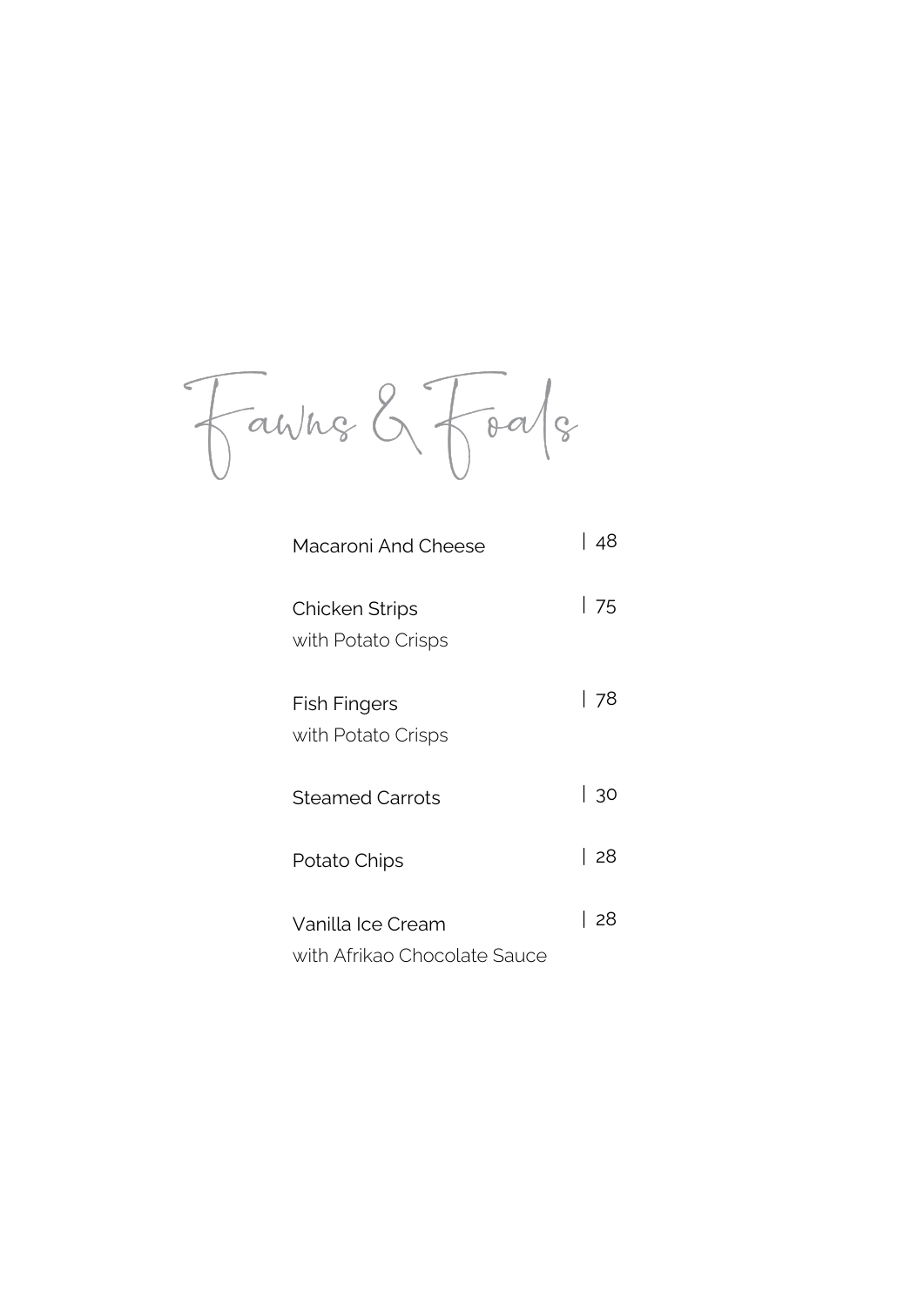Fawne & Foale

 $\smash{\bigtriangledown}$  $\overline{\phantom{a}}$ 

> Macaroni And Cheese | 48

> Chicken Strips with Potato Crisps | 75

Potato Chips

Fish Fingers with Potato Crisps | 78

Vanilla Ice Cream

Steamed Carrots | 30

### with Afrikao Chocolate Sauce

| 28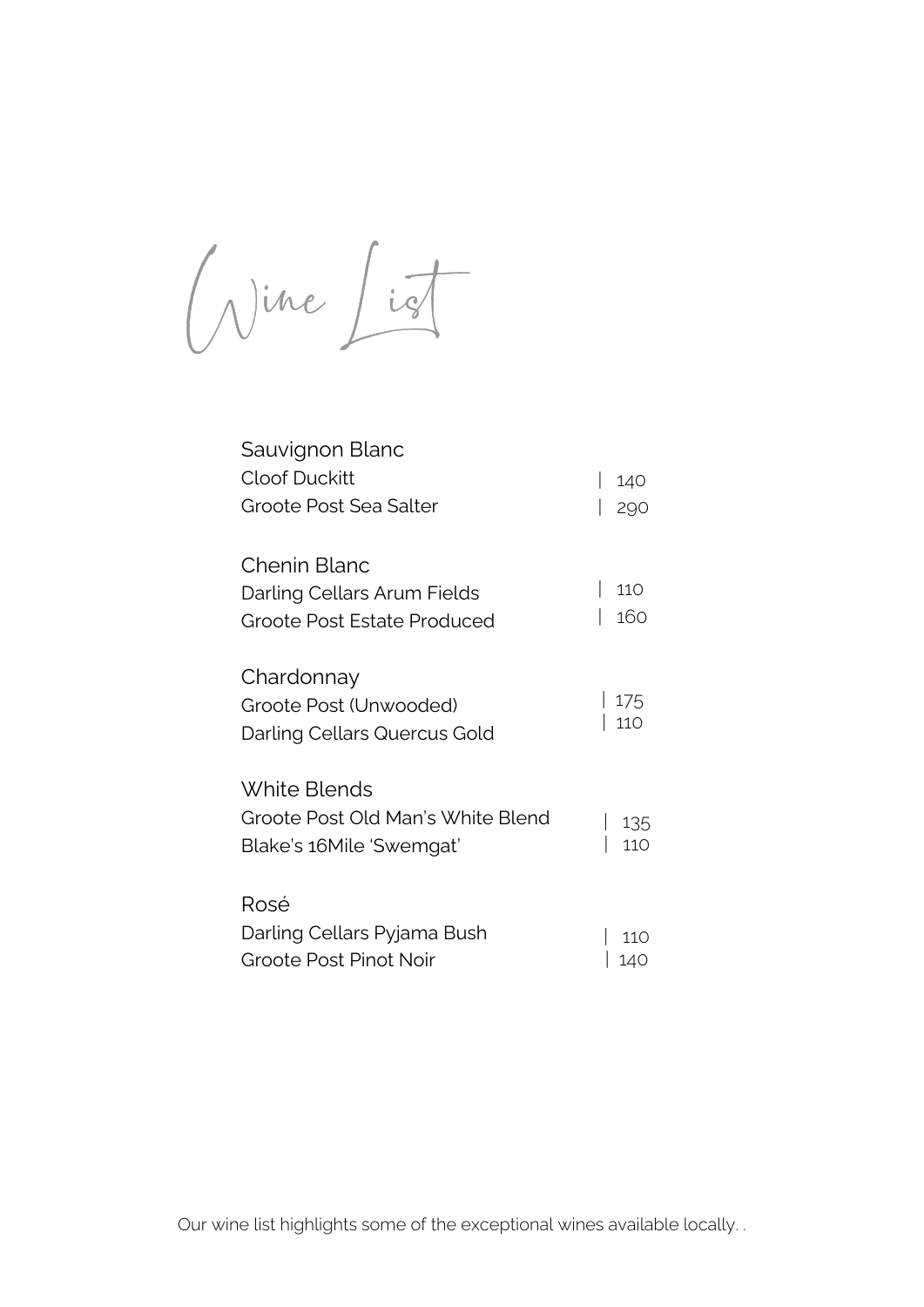Our wine list highlights some of the exceptional wines available locally. .



# Sauvignon Blanc

| <b>Cloof Duckitt</b>                                                              | 140        |
|-----------------------------------------------------------------------------------|------------|
| Groote Post Sea Salter                                                            |            |
| <b>Chenin Blanc</b><br>Darling Cellars Arum Fields<br>Groote Post Estate Produced | 110<br>160 |
| Chardonnay<br>Groote Post (Unwooded)<br>Darling Cellars Quercus Gold              | 175<br>110 |
| White Blends<br>Groote Post Old Man's White Blend<br>Blake's 16Mile 'Swemgat'     | 135<br>110 |
| Rosé                                                                              |            |

Darling Cellars Pyjama Bush

Groote Post Pinot Noir

| 110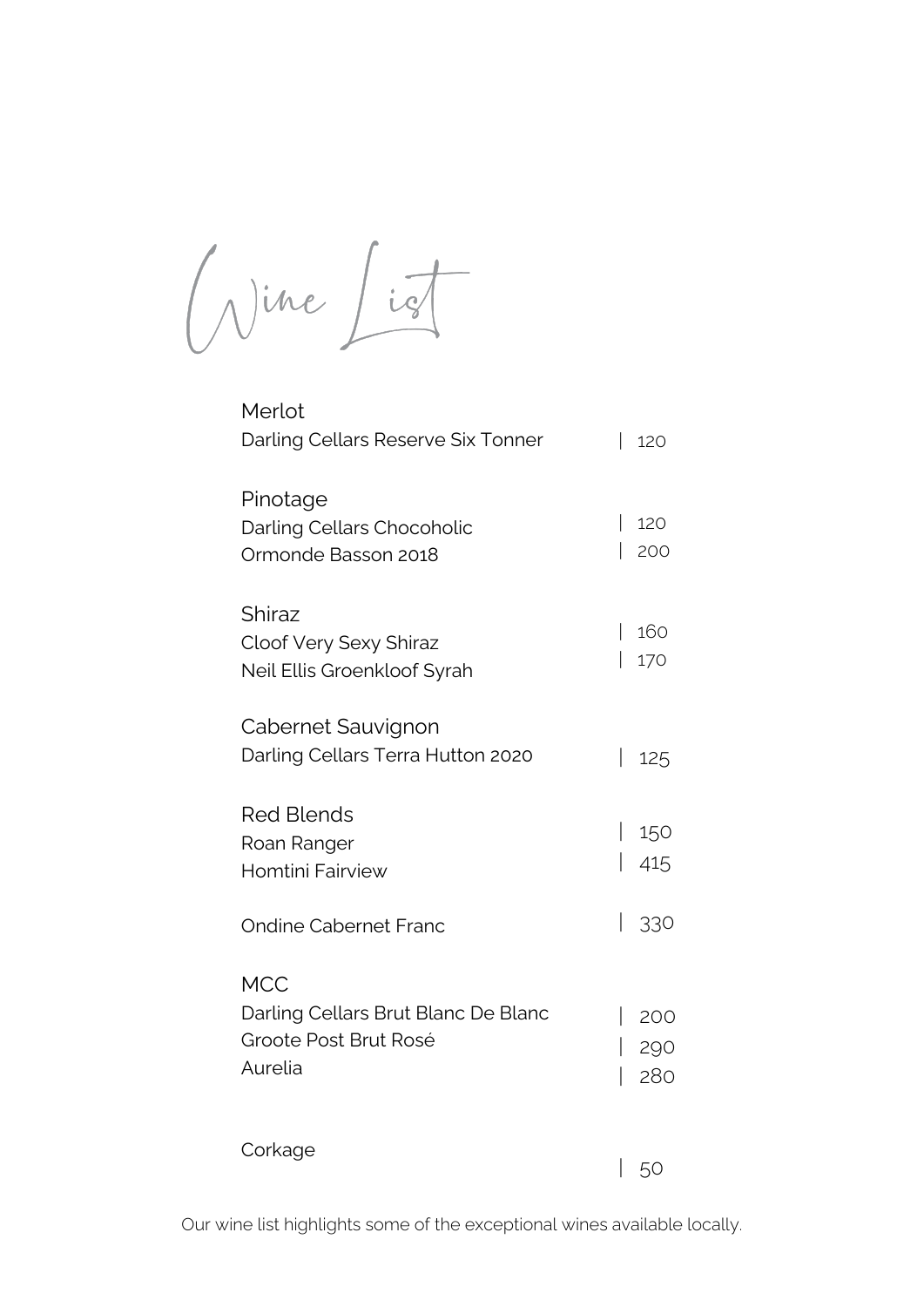Our wine list highlights some of the exceptional wines available locally.

**MCC** Darling Cellars Brut Blanc De Blanc Groote Post Brut Rosé Aurelia | 200 | 290 | 280



Merlot Darling Cellars Reserve Six Tonner | 120

| Pinotage<br>Darling Cellars Chocoholic<br>Ormonde Basson 2018                 | 120        |
|-------------------------------------------------------------------------------|------------|
| Shiraz<br><b>Cloof Very Sexy Shiraz</b><br><b>Neil Ellis Groenkloof Syrah</b> | 160<br>170 |
| <b>Cabernet Sauvignon</b><br>Darling Cellars Terra Hutton 2020                | 125        |
| <b>Red Blends</b><br>Roan Ranger<br>Homtini Fairview                          | 150<br>415 |
| <b>Ondine Cabernet Franc</b>                                                  |            |